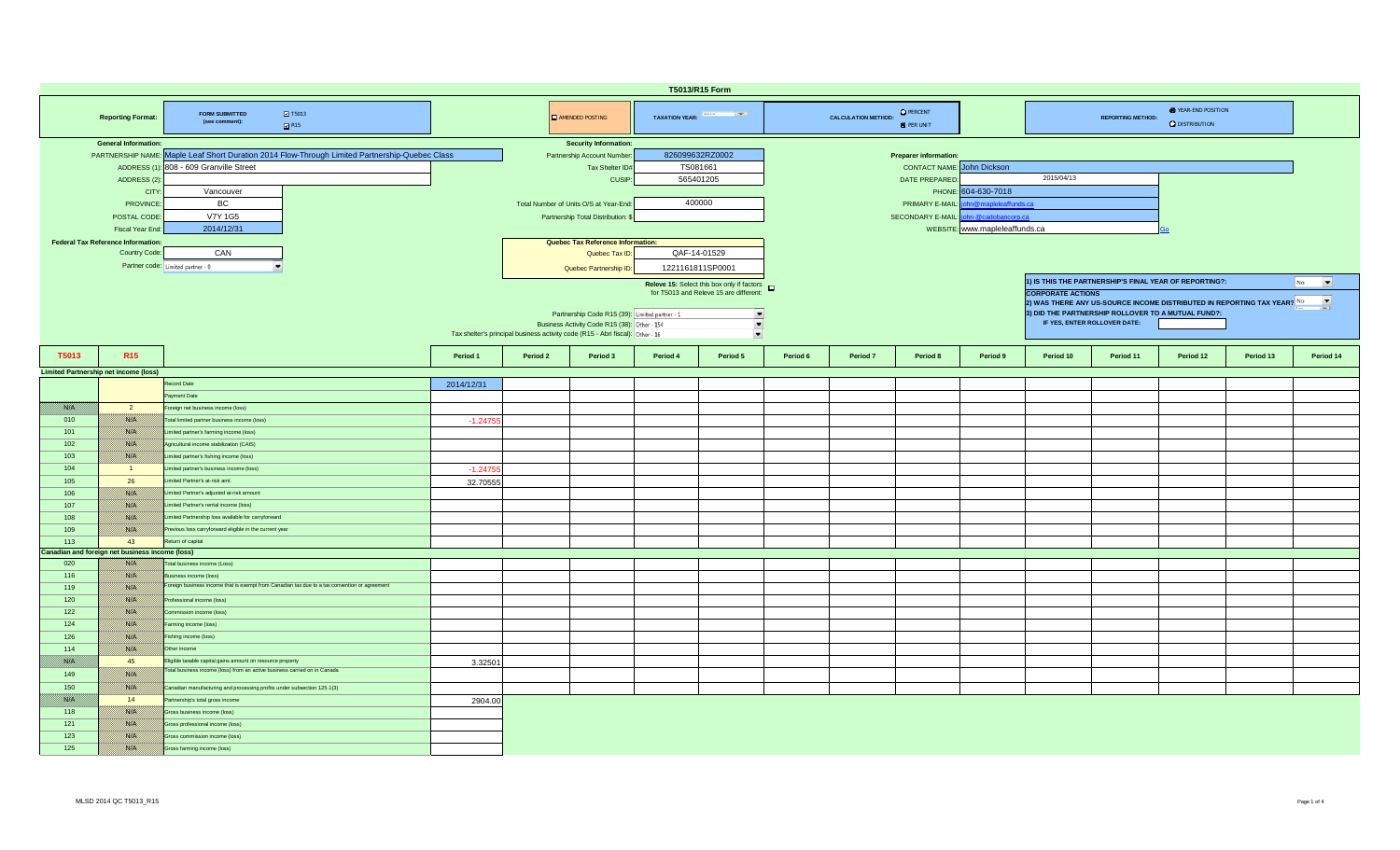| T5013/R15 Form |                                                 |                                                                                                                         |            |          |                                                                                |                 |                                                   |          |                            |                                       |                                |                                                                                                     |                          |                                                        |           |                                |  |  |
|----------------|-------------------------------------------------|-------------------------------------------------------------------------------------------------------------------------|------------|----------|--------------------------------------------------------------------------------|-----------------|---------------------------------------------------|----------|----------------------------|---------------------------------------|--------------------------------|-----------------------------------------------------------------------------------------------------|--------------------------|--------------------------------------------------------|-----------|--------------------------------|--|--|
|                | <b>Reporting Format:</b>                        | $\blacksquare$ T5013<br><b>FORM SUBMITTED</b><br>(see comment):<br>R15                                                  |            |          | <b>E</b> AMENDED POSTING                                                       |                 | TAXATION YEAR: <b>Francisco Property</b>          |          | <b>CALCULATION METHOD:</b> | <b>O</b> PERCENT<br><b>O</b> PER UNIT |                                |                                                                                                     | <b>REPORTING METHOD:</b> | <b>O</b> YEAR-END POSITION<br><b>Q</b> DISTRIBUTION    |           |                                |  |  |
|                | <b>General Information:</b>                     |                                                                                                                         |            |          | <b>Security Information:</b>                                                   |                 |                                                   |          |                            |                                       |                                |                                                                                                     |                          |                                                        |           |                                |  |  |
|                |                                                 | PARTNERSHIP NAME: Maple Leaf Short Duration 2014 Flow-Through Limited Partnership-Quebec Class                          |            |          | Partnership Account Number                                                     | 826099632RZ0002 |                                                   |          |                            | <b>Preparer information</b>           |                                |                                                                                                     |                          |                                                        |           |                                |  |  |
|                |                                                 | ADDRESS (1): 808 - 609 Granville Street                                                                                 |            |          | Tax Shelter ID#                                                                | TS081661        |                                                   |          |                            | <b>CONTACT NAME:</b> John Dickson     |                                |                                                                                                     |                          |                                                        |           |                                |  |  |
|                | ADDRESS (2)                                     |                                                                                                                         |            |          | CUSIP:                                                                         |                 | 565401205                                         |          |                            | DATE PREPARED                         |                                | 2015/04/13                                                                                          |                          |                                                        |           |                                |  |  |
|                | <b>CITY</b>                                     | Vancouver                                                                                                               |            |          |                                                                                |                 |                                                   |          |                            | PHONE:                                | 604-630-7018                   |                                                                                                     |                          |                                                        |           |                                |  |  |
|                | <b>PROVINCE</b>                                 | <b>BC</b>                                                                                                               |            |          | Total Number of Units O/S at Year-End:                                         | 400000          |                                                   |          |                            | PRIMARY E-MAIL:                       | n@mapleleaffunds.ca            |                                                                                                     |                          |                                                        |           |                                |  |  |
|                | POSTAL CODE                                     | <b>V7Y 1G5</b>                                                                                                          |            |          | Partnership Total Distribution:                                                |                 |                                                   |          |                            | SECONDARY E-MAIL:                     | hn @cadobancorp.ca             |                                                                                                     |                          |                                                        |           |                                |  |  |
|                | Fiscal Year End                                 | 2014/12/31                                                                                                              |            |          |                                                                                |                 |                                                   |          |                            |                                       | WEBSITE: www.mapleleaffunds.ca |                                                                                                     |                          |                                                        |           |                                |  |  |
|                | <b>Federal Tax Reference Information:</b>       |                                                                                                                         |            |          | Quebec Tax Reference Information:                                              |                 |                                                   |          |                            |                                       |                                |                                                                                                     |                          |                                                        |           |                                |  |  |
|                | Country Code:                                   | CAN                                                                                                                     |            |          | Quebec Tax ID                                                                  | QAF-14-01529    |                                                   |          |                            |                                       |                                |                                                                                                     |                          |                                                        |           |                                |  |  |
|                |                                                 |                                                                                                                         |            |          |                                                                                |                 |                                                   |          |                            |                                       |                                |                                                                                                     |                          |                                                        |           |                                |  |  |
|                | Partner code: Limited partner - 0               |                                                                                                                         |            |          | Quebec Partnership ID:                                                         |                 | 1221161811SP0001                                  |          |                            |                                       |                                |                                                                                                     |                          |                                                        |           |                                |  |  |
|                |                                                 |                                                                                                                         |            |          |                                                                                |                 | Releve 15: Select this box only if factors $\Box$ |          |                            |                                       |                                |                                                                                                     |                          | 1) IS THIS THE PARTNERSHIP'S FINAL YEAR OF REPORTING?: |           | $\overline{\phantom{a}}$<br>No |  |  |
|                |                                                 |                                                                                                                         |            |          |                                                                                |                 | for T5013 and Releve 15 are different:            |          |                            |                                       |                                | <b>CORPORATE ACTIONS</b>                                                                            |                          |                                                        |           |                                |  |  |
|                |                                                 |                                                                                                                         |            |          |                                                                                |                 |                                                   |          |                            |                                       |                                | $\overline{\phantom{a}}$<br>2) WAS THERE ANY US-SOURCE INCOME DISTRIBUTED IN REPORTING TAX YEAR? No |                          |                                                        |           |                                |  |  |
|                |                                                 |                                                                                                                         |            |          | Partnership Code R15 (39): Limited partner - 1                                 |                 | $\frac{1}{\sqrt{2}}$                              |          |                            |                                       |                                |                                                                                                     |                          | 3) DID THE PARTNERSHIP ROLLOVER TO A MUTUAL FUND?:     |           |                                |  |  |
|                |                                                 |                                                                                                                         |            |          | Business Activity Code R15 (38): Other - 154                                   |                 |                                                   |          |                            |                                       |                                | IF YES, ENTER ROLLOVER DATE:                                                                        |                          |                                                        |           |                                |  |  |
|                |                                                 |                                                                                                                         |            |          | Tax shelter's principal business activity code (R15 - Abri fiscal): Other - 16 |                 | $\overline{\phantom{a}}$                          |          |                            |                                       |                                |                                                                                                     |                          |                                                        |           |                                |  |  |
|                | R <sub>15</sub>                                 |                                                                                                                         | Period 1   | Period 2 | Period 3                                                                       | Period 4        | Period 5                                          | Period 6 | Period 7                   | Period 8                              | Period 9                       | Period 10                                                                                           | Period 11                | Period 12                                              | Period 13 | Period 14                      |  |  |
| T5013          |                                                 |                                                                                                                         |            |          |                                                                                |                 |                                                   |          |                            |                                       |                                |                                                                                                     |                          |                                                        |           |                                |  |  |
|                | <b>Limited Partnership net income (loss)</b>    |                                                                                                                         |            |          |                                                                                |                 |                                                   |          |                            |                                       |                                |                                                                                                     |                          |                                                        |           |                                |  |  |
|                |                                                 | Record Date                                                                                                             | 2014/12/31 |          |                                                                                |                 |                                                   |          |                            |                                       |                                |                                                                                                     |                          |                                                        |           |                                |  |  |
|                |                                                 | Payment Date                                                                                                            |            |          |                                                                                |                 |                                                   |          |                            |                                       |                                |                                                                                                     |                          |                                                        |           |                                |  |  |
| film a         | $\overline{2}$                                  | Foreign net business income (loss)                                                                                      |            |          |                                                                                |                 |                                                   |          |                            |                                       |                                |                                                                                                     |                          |                                                        |           |                                |  |  |
| 010            | <b>Richel</b>                                   | Total limited partner business income (loss)                                                                            | $-1.2475$  |          |                                                                                |                 |                                                   |          |                            |                                       |                                |                                                                                                     |                          |                                                        |           |                                |  |  |
| 101            | <u>1880 (M</u>                                  | Limited partner's farming income (loss)                                                                                 |            |          |                                                                                |                 |                                                   |          |                            |                                       |                                |                                                                                                     |                          |                                                        |           |                                |  |  |
| 102            | 1880 EU                                         | Agricultural income stabilization (CAIS)                                                                                |            |          |                                                                                |                 |                                                   |          |                            |                                       |                                |                                                                                                     |                          |                                                        |           |                                |  |  |
| 103            | 1880 Oʻli                                       | Limited partner's fishing income (loss)                                                                                 |            |          |                                                                                |                 |                                                   |          |                            |                                       |                                |                                                                                                     |                          |                                                        |           |                                |  |  |
| 104            | $\blacksquare$                                  | Limited partner's business income (loss)                                                                                | $-1.2475$  |          |                                                                                |                 |                                                   |          |                            |                                       |                                |                                                                                                     |                          |                                                        |           |                                |  |  |
| 105            | 26                                              | Limited Partner's at-risk amt.                                                                                          |            |          |                                                                                |                 |                                                   |          |                            |                                       |                                |                                                                                                     |                          |                                                        |           |                                |  |  |
|                | 1880.CH                                         | Limited Partner's adjusted at-risk amount                                                                               | 32.70555   |          |                                                                                |                 |                                                   |          |                            |                                       |                                |                                                                                                     |                          |                                                        |           |                                |  |  |
| 106            |                                                 |                                                                                                                         |            |          |                                                                                |                 |                                                   |          |                            |                                       |                                |                                                                                                     |                          |                                                        |           |                                |  |  |
| 107            | 1880 EU                                         | Limited Partner's rental income (loss)                                                                                  |            |          |                                                                                |                 |                                                   |          |                            |                                       |                                |                                                                                                     |                          |                                                        |           |                                |  |  |
| 108            | <b>RACHI</b>                                    | Limited Partnership loss available for carryforward                                                                     |            |          |                                                                                |                 |                                                   |          |                            |                                       |                                |                                                                                                     |                          |                                                        |           |                                |  |  |
| 109            | <b>SSIE</b>                                     | Previous loss carryforward eligible in the current year                                                                 |            |          |                                                                                |                 |                                                   |          |                            |                                       |                                |                                                                                                     |                          |                                                        |           |                                |  |  |
| 113            | 43                                              | Return of capital                                                                                                       |            |          |                                                                                |                 |                                                   |          |                            |                                       |                                |                                                                                                     |                          |                                                        |           |                                |  |  |
|                | Canadian and foreign net business income (loss) |                                                                                                                         |            |          |                                                                                |                 |                                                   |          |                            |                                       |                                |                                                                                                     |                          |                                                        |           |                                |  |  |
| 020            | <u>1880 (M</u>                                  | Total business income (Loss)                                                                                            |            |          |                                                                                |                 |                                                   |          |                            |                                       |                                |                                                                                                     |                          |                                                        |           |                                |  |  |
| 116            | 1880.CH                                         | Business income (loss)<br>Foreign business income that is exempt from Canadian tax due to a tax convention or agreement |            |          |                                                                                |                 |                                                   |          |                            |                                       |                                |                                                                                                     |                          |                                                        |           |                                |  |  |
| 119            | 1880 EU                                         |                                                                                                                         |            |          |                                                                                |                 |                                                   |          |                            |                                       |                                |                                                                                                     |                          |                                                        |           |                                |  |  |
| 120            | <b>RACHI</b>                                    | Professional income (loss)                                                                                              |            |          |                                                                                |                 |                                                   |          |                            |                                       |                                |                                                                                                     |                          |                                                        |           |                                |  |  |
| 122            | <b>SSIP</b>                                     | Commission income (loss)                                                                                                |            |          |                                                                                |                 |                                                   |          |                            |                                       |                                |                                                                                                     |                          |                                                        |           |                                |  |  |
| 124            | <u> 1880. SV</u>                                | Farming income (loss)                                                                                                   |            |          |                                                                                |                 |                                                   |          |                            |                                       |                                |                                                                                                     |                          |                                                        |           |                                |  |  |
| 126            | i sistemat                                      | Fishing income (loss)                                                                                                   |            |          |                                                                                |                 |                                                   |          |                            |                                       |                                |                                                                                                     |                          |                                                        |           |                                |  |  |
| 114            | 788 B                                           | Other income                                                                                                            |            |          |                                                                                |                 |                                                   |          |                            |                                       |                                |                                                                                                     |                          |                                                        |           |                                |  |  |
| film ann an    | 45                                              | Eligible taxable capital gains amount on resource property                                                              | 3.32501    |          |                                                                                |                 |                                                   |          |                            |                                       |                                |                                                                                                     |                          |                                                        |           |                                |  |  |
| 149            | 1880 EU                                         | Total business income (loss) from an active business carried on in Canada                                               |            |          |                                                                                |                 |                                                   |          |                            |                                       |                                |                                                                                                     |                          |                                                        |           |                                |  |  |
| 150            | 1880 Oʻli                                       | Canadian manufacturing and processing profits under subsection 125.1(3)                                                 |            |          |                                                                                |                 |                                                   |          |                            |                                       |                                |                                                                                                     |                          |                                                        |           |                                |  |  |
| film a         | 14                                              |                                                                                                                         |            |          |                                                                                |                 |                                                   |          |                            |                                       |                                |                                                                                                     |                          |                                                        |           |                                |  |  |
|                |                                                 | Partnership's total gross income                                                                                        | 2904.00    |          |                                                                                |                 |                                                   |          |                            |                                       |                                |                                                                                                     |                          |                                                        |           |                                |  |  |
| 118            | <u>1880 (M</u>                                  | Gross business income (loss)                                                                                            |            |          |                                                                                |                 |                                                   |          |                            |                                       |                                |                                                                                                     |                          |                                                        |           |                                |  |  |
| 121            | <u> 1880. SV</u>                                | Gross professional income (loss)                                                                                        |            |          |                                                                                |                 |                                                   |          |                            |                                       |                                |                                                                                                     |                          |                                                        |           |                                |  |  |
| 123            | 1880 EU                                         | Gross commission income (loss)                                                                                          |            |          |                                                                                |                 |                                                   |          |                            |                                       |                                |                                                                                                     |                          |                                                        |           |                                |  |  |
| 125            | 1880 Oliveil                                    | Gross farming income (loss)                                                                                             |            |          |                                                                                |                 |                                                   |          |                            |                                       |                                |                                                                                                     |                          |                                                        |           |                                |  |  |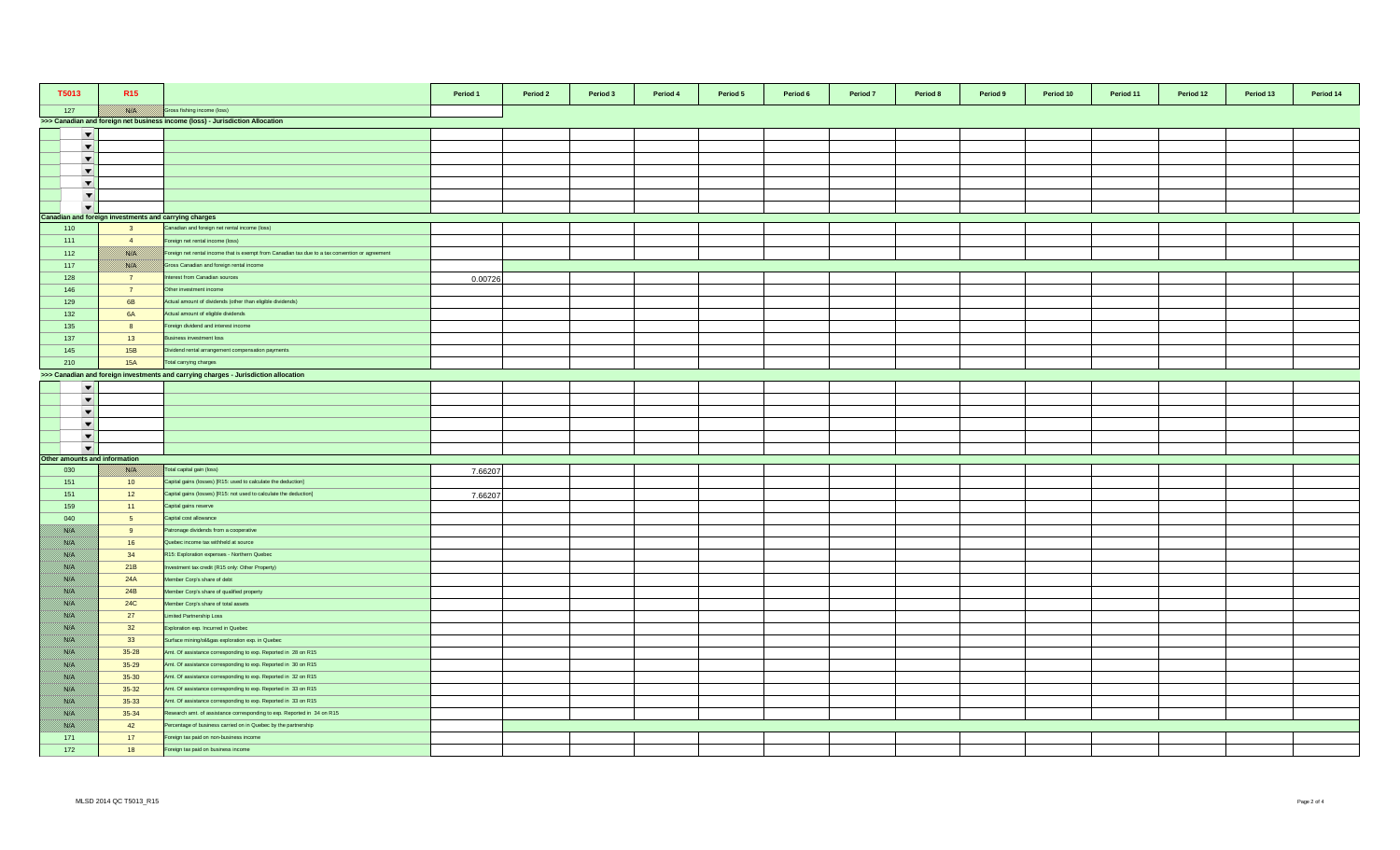| T5013                         | R <sub>15</sub>                                       |                                                                                                 | Period 1 | Period 2 | Period 3 | Period 4 | Period 5 | Period 6 | Period 7 | Period 8 | Period 9 | Period 10 | Period 11 | Period 12 | Period 13 | Period 14 |
|-------------------------------|-------------------------------------------------------|-------------------------------------------------------------------------------------------------|----------|----------|----------|----------|----------|----------|----------|----------|----------|-----------|-----------|-----------|-----------|-----------|
| 127                           |                                                       | Gross fishing income (loss)                                                                     |          |          |          |          |          |          |          |          |          |           |           |           |           |           |
|                               |                                                       | >>> Canadian and foreign net business income (loss) - Jurisdiction Allocation                   |          |          |          |          |          |          |          |          |          |           |           |           |           |           |
| $\overline{\phantom{a}}$      |                                                       |                                                                                                 |          |          |          |          |          |          |          |          |          |           |           |           |           |           |
| $\overline{\phantom{a}}$      |                                                       |                                                                                                 |          |          |          |          |          |          |          |          |          |           |           |           |           |           |
| $\overline{\phantom{a}}$      |                                                       |                                                                                                 |          |          |          |          |          |          |          |          |          |           |           |           |           |           |
| $\blacktriangledown$          |                                                       |                                                                                                 |          |          |          |          |          |          |          |          |          |           |           |           |           |           |
| $\blacktriangledown$          |                                                       |                                                                                                 |          |          |          |          |          |          |          |          |          |           |           |           |           |           |
| $\blacktriangledown$          |                                                       |                                                                                                 |          |          |          |          |          |          |          |          |          |           |           |           |           |           |
| $\overline{\phantom{0}}$      |                                                       |                                                                                                 |          |          |          |          |          |          |          |          |          |           |           |           |           |           |
|                               | Canadian and foreign investments and carrying charges |                                                                                                 |          |          |          |          |          |          |          |          |          |           |           |           |           |           |
| 110                           | $\overline{\mathbf{3}}$                               | Canadian and foreign net rental income (loss)                                                   |          |          |          |          |          |          |          |          |          |           |           |           |           |           |
| 111                           | $\overline{4}$                                        | Foreign net rental income (loss)                                                                |          |          |          |          |          |          |          |          |          |           |           |           |           |           |
| 112                           | <b>BARA</b>                                           | Foreign net rental income that is exempt from Canadian tax due to a tax convention or agreement |          |          |          |          |          |          |          |          |          |           |           |           |           |           |
| 117                           | <b>BARTA</b>                                          | Gross Canadian and foreign rental income                                                        |          |          |          |          |          |          |          |          |          |           |           |           |           |           |
| 128                           | $\overline{7}$                                        | terest from Canadian sources                                                                    | 0.00726  |          |          |          |          |          |          |          |          |           |           |           |           |           |
| 146                           | $\overline{7}$                                        | Other investment income                                                                         |          |          |          |          |          |          |          |          |          |           |           |           |           |           |
| 129                           | 6B                                                    | Actual amount of dividends (other than eligible dividends)                                      |          |          |          |          |          |          |          |          |          |           |           |           |           |           |
| 132                           | <b>6A</b>                                             | Actual amount of eligible dividends                                                             |          |          |          |          |          |          |          |          |          |           |           |           |           |           |
| 135                           | 8                                                     | Foreign dividend and interest income                                                            |          |          |          |          |          |          |          |          |          |           |           |           |           |           |
| 137                           | 13                                                    | Business investment loss                                                                        |          |          |          |          |          |          |          |          |          |           |           |           |           |           |
| 145                           | 15B                                                   | Dividend rental arrangement compensation payments                                               |          |          |          |          |          |          |          |          |          |           |           |           |           |           |
| 210                           | <b>15A</b>                                            | Total carrying charges                                                                          |          |          |          |          |          |          |          |          |          |           |           |           |           |           |
|                               |                                                       | >>> Canadian and foreign investments and carrying charges - Jurisdiction allocation             |          |          |          |          |          |          |          |          |          |           |           |           |           |           |
| $\blacktriangledown$          |                                                       |                                                                                                 |          |          |          |          |          |          |          |          |          |           |           |           |           |           |
| $\overline{\phantom{a}}$      |                                                       |                                                                                                 |          |          |          |          |          |          |          |          |          |           |           |           |           |           |
| $\overline{\phantom{a}}$      |                                                       |                                                                                                 |          |          |          |          |          |          |          |          |          |           |           |           |           |           |
| $\overline{\phantom{a}}$      |                                                       |                                                                                                 |          |          |          |          |          |          |          |          |          |           |           |           |           |           |
| $\blacktriangledown$          |                                                       |                                                                                                 |          |          |          |          |          |          |          |          |          |           |           |           |           |           |
| $\overline{\phantom{a}}$      |                                                       |                                                                                                 |          |          |          |          |          |          |          |          |          |           |           |           |           |           |
| Other amounts and information |                                                       |                                                                                                 |          |          |          |          |          |          |          |          |          |           |           |           |           |           |
| 030                           | <b>BATH</b>                                           | Total capital gain (loss)                                                                       | 7.66207  |          |          |          |          |          |          |          |          |           |           |           |           |           |
| 151                           | 10 <sup>°</sup>                                       | Capital gains (losses) [R15: used to calculate the deduction]                                   |          |          |          |          |          |          |          |          |          |           |           |           |           |           |
| 151                           | 12                                                    | Capital gains (losses) [R15: not used to calculate the deduction]                               | 7.66207  |          |          |          |          |          |          |          |          |           |           |           |           |           |
| 159                           | 11                                                    | Capital gains reserve                                                                           |          |          |          |          |          |          |          |          |          |           |           |           |           |           |
| 040                           | 5 <sub>5</sub>                                        | Capital cost allowance                                                                          |          |          |          |          |          |          |          |          |          |           |           |           |           |           |
| <u> Birliy</u>                | 9                                                     | Patronage dividends from a cooperative                                                          |          |          |          |          |          |          |          |          |          |           |           |           |           |           |
| <u> British</u>               | 16                                                    | Quebec income tax withheld at source                                                            |          |          |          |          |          |          |          |          |          |           |           |           |           |           |
| <u> British</u>               | 34                                                    | R15: Exploration expenses - Northern Quebec                                                     |          |          |          |          |          |          |          |          |          |           |           |           |           |           |
| <u> Birth</u>                 | 21B                                                   | vestment tax credit (R15 only: Other Property)                                                  |          |          |          |          |          |          |          |          |          |           |           |           |           |           |
| <u>filman</u>                 | 24A                                                   | Member Corp's share of debt                                                                     |          |          |          |          |          |          |          |          |          |           |           |           |           |           |
| BANG K                        | 24B                                                   | Member Corp's share of qualified property                                                       |          |          |          |          |          |          |          |          |          |           |           |           |           |           |
| //www                         | <b>24C</b>                                            | Member Corp's share of total assets                                                             |          |          |          |          |          |          |          |          |          |           |           |           |           |           |
| film ann a                    | 27                                                    | Limited Partnership Loss                                                                        |          |          |          |          |          |          |          |          |          |           |           |           |           |           |
| Birth M                       | 32                                                    | Exploration exp. Incurred in Quebec                                                             |          |          |          |          |          |          |          |          |          |           |           |           |           |           |
| <u> British</u>               | 33                                                    | Surface mining/oil&gas exploration exp. in Quebec                                               |          |          |          |          |          |          |          |          |          |           |           |           |           |           |
| <u>filman</u>                 | $35 - 28$                                             | Amt. Of assistance corresponding to exp. Reported in 28 on R15                                  |          |          |          |          |          |          |          |          |          |           |           |           |           |           |
| //www                         | $35 - 29$                                             | Amt. Of assistance corresponding to exp. Reported in 30 on R15                                  |          |          |          |          |          |          |          |          |          |           |           |           |           |           |
| <u> British</u>               | $35 - 30$                                             | Amt. Of assistance corresponding to exp. Reported in 32 on R15                                  |          |          |          |          |          |          |          |          |          |           |           |           |           |           |
| <u> Birth</u>                 | $35 - 32$                                             | Amt. Of assistance corresponding to exp. Reported in 33 on R15                                  |          |          |          |          |          |          |          |          |          |           |           |           |           |           |
| BAKT S                        | $35 - 33$                                             | Amt. Of assistance corresponding to exp. Reported in 33 on R15                                  |          |          |          |          |          |          |          |          |          |           |           |           |           |           |
| <u> British</u>               | $35 - 34$                                             | Research amt. of assistance corresponding to exp. Reported in 34 on R15                         |          |          |          |          |          |          |          |          |          |           |           |           |           |           |
| //www                         | 42                                                    | Percentage of business carried on in Quebec by the partnership                                  |          |          |          |          |          |          |          |          |          |           |           |           |           |           |
| 171                           | 17                                                    | Foreign tax paid on non-business income                                                         |          |          |          |          |          |          |          |          |          |           |           |           |           |           |
| 172                           | 18                                                    | Foreign tax paid on business income                                                             |          |          |          |          |          |          |          |          |          |           |           |           |           |           |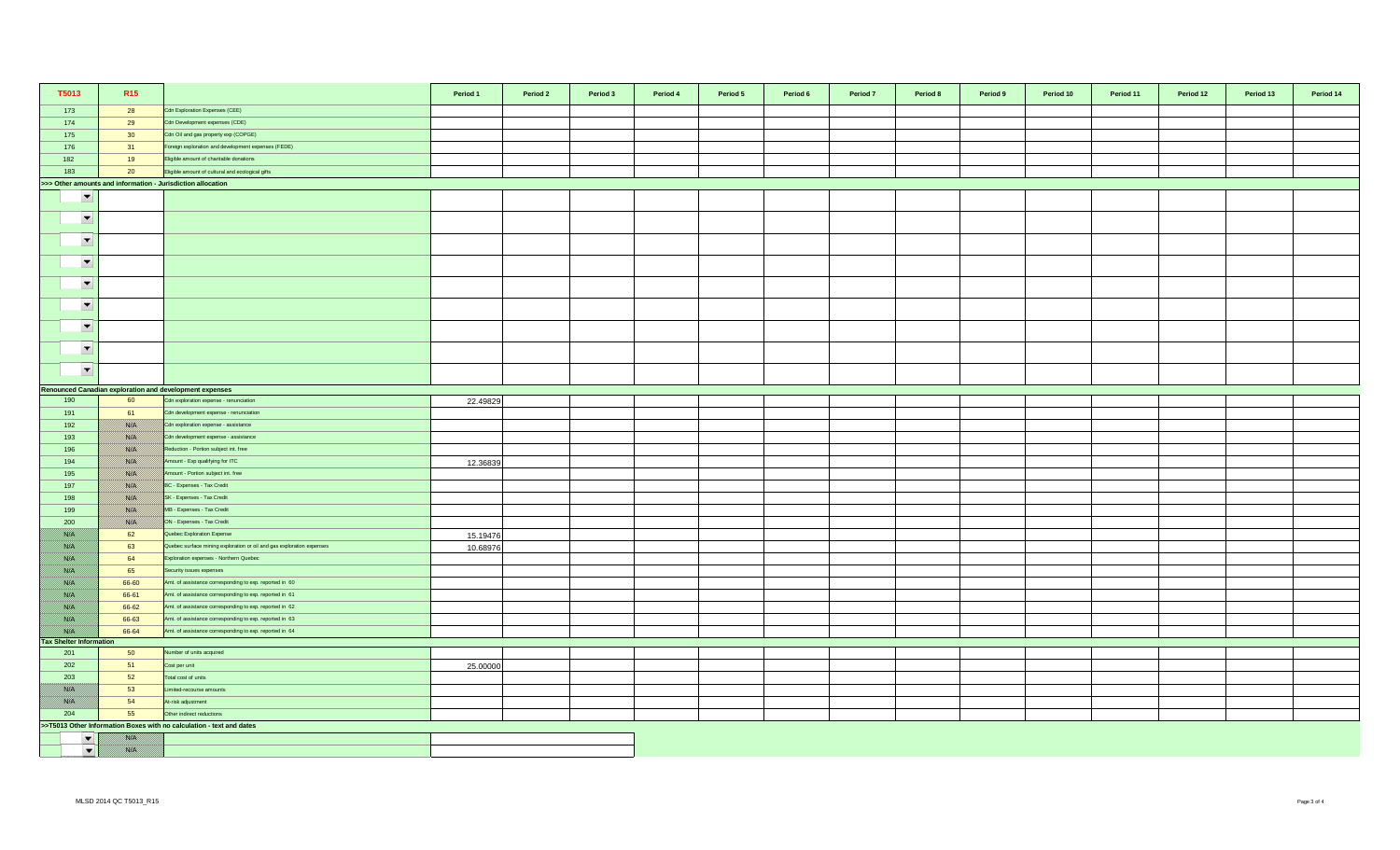| T5013                          | R <sub>15</sub>    |                                                                                                                    | Period 1 | Period 2 | Period 3 | Period 4 | Period 5 | Period 6 | Period 7 | Period 8 | Period 9 | Period 10 | Period 11 | Period 12 | Period 13 | Period 14 |
|--------------------------------|--------------------|--------------------------------------------------------------------------------------------------------------------|----------|----------|----------|----------|----------|----------|----------|----------|----------|-----------|-----------|-----------|-----------|-----------|
| 173                            | 28                 | Cdn Exploration Expenses (CEE)                                                                                     |          |          |          |          |          |          |          |          |          |           |           |           |           |           |
| 174                            | 29                 | Cdn Development expenses (CDE)                                                                                     |          |          |          |          |          |          |          |          |          |           |           |           |           |           |
| 175                            | 30                 | Cdn Oil and gas property exp (COPGE)                                                                               |          |          |          |          |          |          |          |          |          |           |           |           |           |           |
| 176                            | 31                 | Foreign exploration and development expenses (FEDE)                                                                |          |          |          |          |          |          |          |          |          |           |           |           |           |           |
| 182                            | 19                 | Eligible amount of charitable donations                                                                            |          |          |          |          |          |          |          |          |          |           |           |           |           |           |
| 183                            | 20                 | Eligible amount of cultural and ecological gifts                                                                   |          |          |          |          |          |          |          |          |          |           |           |           |           |           |
|                                |                    | >>> Other amounts and information - Jurisdiction allocation                                                        |          |          |          |          |          |          |          |          |          |           |           |           |           |           |
| $\overline{\phantom{a}}$       |                    |                                                                                                                    |          |          |          |          |          |          |          |          |          |           |           |           |           |           |
| $\overline{\phantom{a}}$       |                    |                                                                                                                    |          |          |          |          |          |          |          |          |          |           |           |           |           |           |
| $\overline{\phantom{a}}$       |                    |                                                                                                                    |          |          |          |          |          |          |          |          |          |           |           |           |           |           |
| $\blacktriangledown$           |                    |                                                                                                                    |          |          |          |          |          |          |          |          |          |           |           |           |           |           |
| $\overline{\phantom{a}}$       |                    |                                                                                                                    |          |          |          |          |          |          |          |          |          |           |           |           |           |           |
| $\blacktriangledown$           |                    |                                                                                                                    |          |          |          |          |          |          |          |          |          |           |           |           |           |           |
| $\overline{\phantom{a}}$       |                    |                                                                                                                    |          |          |          |          |          |          |          |          |          |           |           |           |           |           |
| $\overline{\phantom{a}}$       |                    |                                                                                                                    |          |          |          |          |          |          |          |          |          |           |           |           |           |           |
| $\blacktriangledown$           |                    |                                                                                                                    |          |          |          |          |          |          |          |          |          |           |           |           |           |           |
|                                |                    | Renounced Canadian exploration and development expenses                                                            |          |          |          |          |          |          |          |          |          |           |           |           |           |           |
| 190                            | 60                 | Cdn exploration expense - renunciation                                                                             | 22.49829 |          |          |          |          |          |          |          |          |           |           |           |           |           |
| 191                            | 61                 | Cdn development expense - renunciation                                                                             |          |          |          |          |          |          |          |          |          |           |           |           |           |           |
| 192                            | <u> British</u>    | Cdn exploration expense - assistance                                                                               |          |          |          |          |          |          |          |          |          |           |           |           |           |           |
| 193                            |                    | Cdn development expense - assistance                                                                               |          |          |          |          |          |          |          |          |          |           |           |           |           |           |
| 196                            | <u>    Kisiki </u> | Reduction - Portion subject int. free                                                                              |          |          |          |          |          |          |          |          |          |           |           |           |           |           |
| 194                            | <u>   Kirki  </u>  | Amount - Exp qualifying for ITC                                                                                    | 12.36839 |          |          |          |          |          |          |          |          |           |           |           |           |           |
| 195                            | <u> ISSUS I</u>    | Amount - Portion subject int. free                                                                                 |          |          |          |          |          |          |          |          |          |           |           |           |           |           |
| 197                            | <b>BARA</b>        | BC - Expenses - Tax Credit                                                                                         |          |          |          |          |          |          |          |          |          |           |           |           |           |           |
| 198                            |                    | SK - Expenses - Tax Credit                                                                                         |          |          |          |          |          |          |          |          |          |           |           |           |           |           |
| 199                            |                    | MB - Expenses - Tax Credit                                                                                         |          |          |          |          |          |          |          |          |          |           |           |           |           |           |
| 200                            | USSA S             | ON - Expenses - Tax Credit                                                                                         |          |          |          |          |          |          |          |          |          |           |           |           |           |           |
| film an<br><u> Biskopi I</u>   | 62                 | Quebec Exploration Expense                                                                                         | 15.19476 |          |          |          |          |          |          |          |          |           |           |           |           |           |
| <u> Biblioth</u>               | 63<br>64           | Quebec surface mining exploration or oil and gas exploration expenses<br>Exploration expenses - Northern Quebec    | 10.68976 |          |          |          |          |          |          |          |          |           |           |           |           |           |
| <u> Wissels I</u>              | 65                 |                                                                                                                    |          |          |          |          |          |          |          |          |          |           |           |           |           |           |
| 78. S                          | 66-60              | Security issues expenses<br>Amt. of assistance corresponding to exp. reported in 60                                |          |          |          |          |          |          |          |          |          |           |           |           |           |           |
| <u> Karl I</u>                 | 66-61              | Amt. of assistance corresponding to exp. reported in 61                                                            |          |          |          |          |          |          |          |          |          |           |           |           |           |           |
| <u> British</u>                | 66-62              |                                                                                                                    |          |          |          |          |          |          |          |          |          |           |           |           |           |           |
|                                | 66-63              | Amt. of assistance corresponding to exp. reported in 62<br>Amt. of assistance corresponding to exp. reported in 63 |          |          |          |          |          |          |          |          |          |           |           |           |           |           |
|                                | 66-64              |                                                                                                                    |          |          |          |          |          |          |          |          |          |           |           |           |           |           |
| <b>Tax Shelter Information</b> |                    | Amt. of assistance corresponding to exp. reported in 64                                                            |          |          |          |          |          |          |          |          |          |           |           |           |           |           |
| 201                            | 50                 | lumber of units acquired                                                                                           |          |          |          |          |          |          |          |          |          |           |           |           |           |           |
| 202                            | 51                 | Cost per unit                                                                                                      | 25.00000 |          |          |          |          |          |          |          |          |           |           |           |           |           |
| 203                            | 52                 | Total cost of units                                                                                                |          |          |          |          |          |          |          |          |          |           |           |           |           |           |
|                                | 53                 | imited-recourse amounts                                                                                            |          |          |          |          |          |          |          |          |          |           |           |           |           |           |
|                                | 54                 | At-risk adjustment                                                                                                 |          |          |          |          |          |          |          |          |          |           |           |           |           |           |
| 204                            | 55                 | Other indirect reductions                                                                                          |          |          |          |          |          |          |          |          |          |           |           |           |           |           |
|                                |                    | >>T5013 Other Information Boxes with no calculation - text and dates                                               |          |          |          |          |          |          |          |          |          |           |           |           |           |           |
| $\blacktriangledown$           |                    |                                                                                                                    |          |          |          |          |          |          |          |          |          |           |           |           |           |           |
| $\blacktriangledown$           | film an            |                                                                                                                    |          |          |          |          |          |          |          |          |          |           |           |           |           |           |